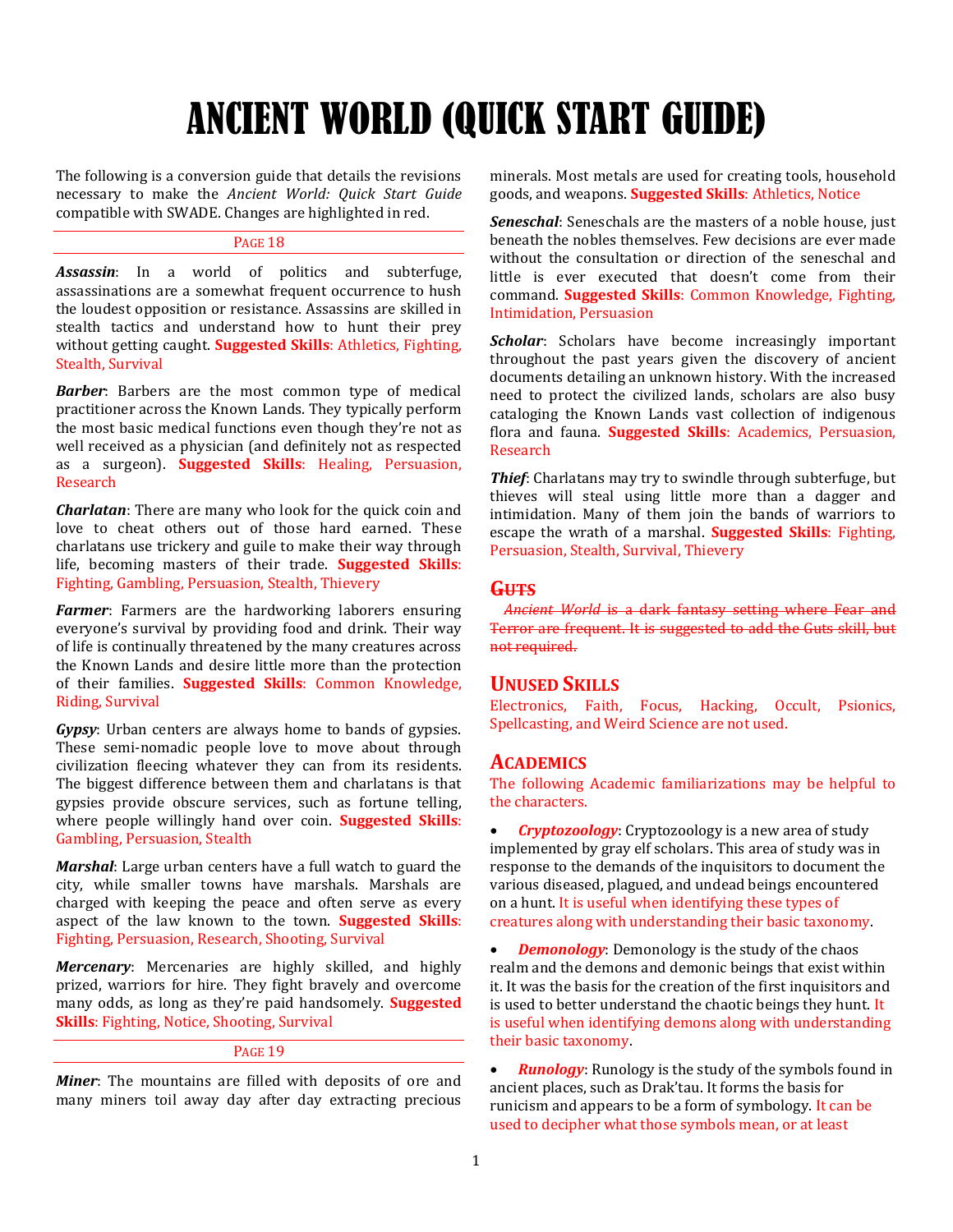# ANCIENT WORLD (QUICK START GUIDE)

The following is a conversion guide that details the revisions necessary to make the *Ancient World: Quick Start Guide* compatible with SWADE. Changes are highlighted in red.

## PAGE 18

*Assassin*: In a world of politics and subterfuge, assassinations are a somewhat frequent occurrence to hush the loudest opposition or resistance. Assassins are skilled in stealth tactics and understand how to hunt their prey without getting caught. **Suggested Skills**: Athletics, Fighting, Stealth, Survival

*Barber*: Barbers are the most common type of medical practitioner across the Known Lands. They typically perform the most basic medical functions even though they're not as well received as a physician (and definitely not as respected as a surgeon). **Suggested Skills**: Healing, Persuasion, Research

*Charlatan*: There are many who look for the quick coin and love to cheat others out of those hard earned. These charlatans use trickery and guile to make their way through life, becoming masters of their trade. **Suggested Skills**: Fighting, Gambling, Persuasion, Stealth, Thievery

*Farmer*: Farmers are the hardworking laborers ensuring everyone's survival by providing food and drink. Their way of life is continually threatened by the many creatures across the Known Lands and desire little more than the protection of their families. **Suggested Skills**: Common Knowledge, Riding, Survival

*Gypsy*: Urban centers are always home to bands of gypsies. These semi-nomadic people love to move about through civilization fleecing whatever they can from its residents. The biggest difference between them and charlatans is that gypsies provide obscure services, such as fortune telling, where people willingly hand over coin. **Suggested Skills**: Gambling, Persuasion, Stealth

*Marshal*: Large urban centers have a full watch to guard the city, while smaller towns have marshals. Marshals are charged with keeping the peace and often serve as every aspect of the law known to the town. **Suggested Skills**: Fighting, Persuasion, Research, Shooting, Survival

*Mercenary*: Mercenaries are highly skilled, and highly prized, warriors for hire. They fight bravely and overcome many odds, as long as they're paid handsomely. **Suggested Skills**: Fighting, Notice, Shooting, Survival

## PAGE 19

*Miner*: The mountains are filled with deposits of ore and many miners toil away day after day extracting precious

minerals. Most metals are used for creating tools, household goods, and weapons. **Suggested Skills**: Athletics, Notice

*Seneschal*: Seneschals are the masters of a noble house, just beneath the nobles themselves. Few decisions are ever made without the consultation or direction of the seneschal and little is ever executed that doesn't come from their command. **Suggested Skills**: Common Knowledge, Fighting, Intimidation, Persuasion

**Scholar:** Scholars have become increasingly important throughout the past years given the discovery of ancient documents detailing an unknown history. With the increased need to protect the civilized lands, scholars are also busy cataloging the Known Lands vast collection of indigenous flora and fauna. **Suggested Skills**: Academics, Persuasion, Research

*Thief*: Charlatans may try to swindle through subterfuge, but thieves will steal using little more than a dagger and intimidation. Many of them join the bands of warriors to escape the wrath of a marshal. **Suggested Skills**: Fighting, Persuasion, Stealth, Survival, Thievery

## **GUTS**

*Ancient World* is a dark fantasy setting where Fear and Terror are frequent. It is suggested to add the Guts skill, but not required.

## **UNUSED SKILLS**

Electronics, Faith, Focus, Hacking, Occult, Psionics, Spellcasting, and Weird Science are not used.

## **ACADEMICS**

The following Academic familiarizations may be helpful to the characters.

 *Cryptozoology*: Cryptozoology is a new area of study implemented by gray elf scholars. This area of study was in response to the demands of the inquisitors to document the various diseased, plagued, and undead beings encountered on a hunt. It is useful when identifying these types of creatures along with understanding their basic taxonomy.

 *Demonology*: Demonology is the study of the chaos realm and the demons and demonic beings that exist within it. It was the basis for the creation of the first inquisitors and is used to better understand the chaotic beings they hunt. It is useful when identifying demons along with understanding their basic taxonomy.

 *Runology*: Runology is the study of the symbols found in ancient places, such as Drak'tau. It forms the basis for runicism and appears to be a form of symbology. It can be used to decipher what those symbols mean, or at least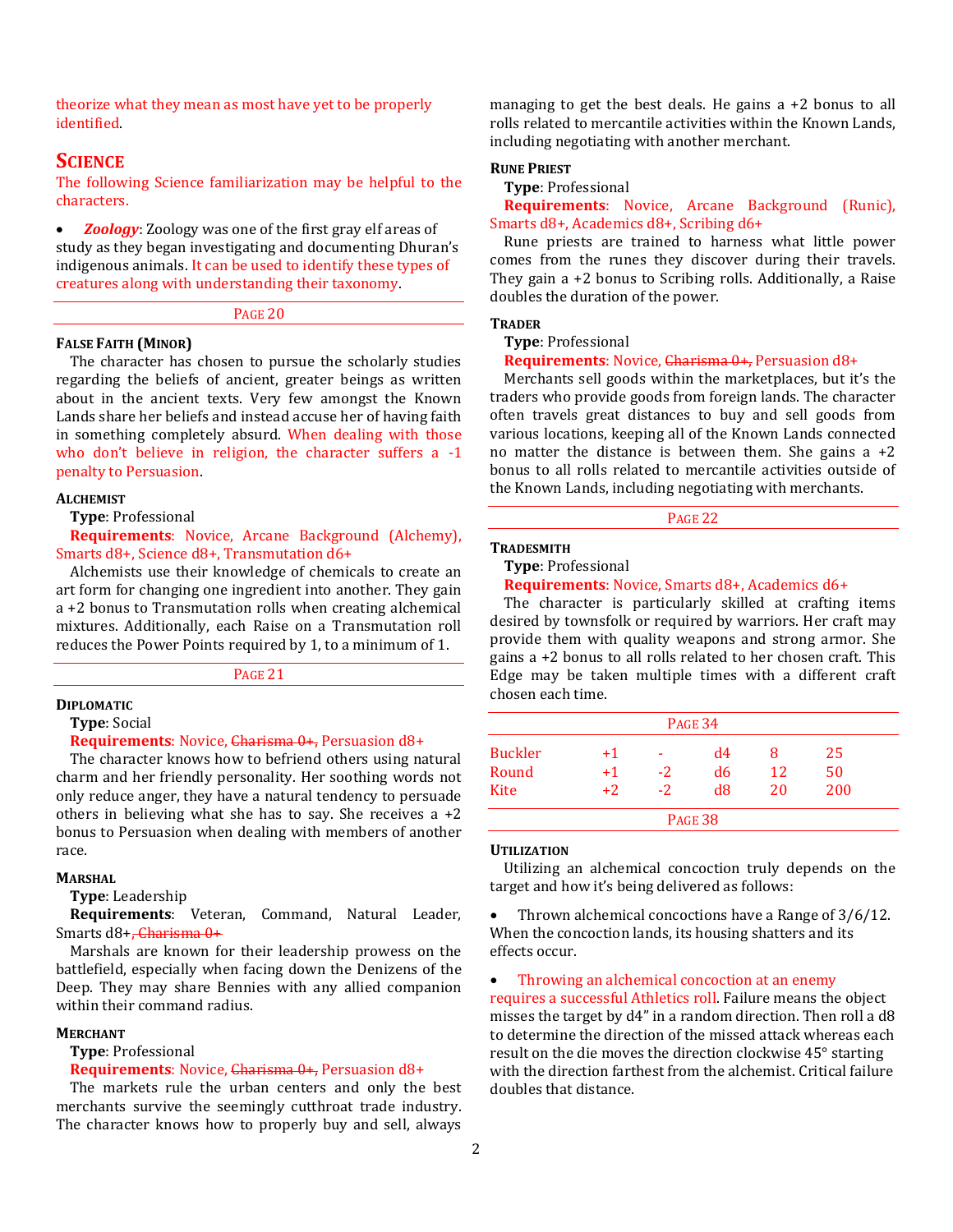theorize what they mean as most have yet to be properly identified.

# **SCIENCE**

The following Science familiarization may be helpful to the characters.

 *Zoology*: Zoology was one of the first gray elf areas of study as they began investigating and documenting Dhuran's indigenous animals. It can be used to identify these types of creatures along with understanding their taxonomy.

#### PAGE 20

#### **FALSE FAITH (MINOR)**

The character has chosen to pursue the scholarly studies regarding the beliefs of ancient, greater beings as written about in the ancient texts. Very few amongst the Known Lands share her beliefs and instead accuse her of having faith in something completely absurd. When dealing with those who don't believe in religion, the character suffers a -1 penalty to Persuasion.

#### **ALCHEMIST**

**Type**: Professional

**Requirements**: Novice, Arcane Background (Alchemy), Smarts d8+, Science d8+, Transmutation d6+

Alchemists use their knowledge of chemicals to create an art form for changing one ingredient into another. They gain a +2 bonus to Transmutation rolls when creating alchemical mixtures. Additionally, each Raise on a Transmutation roll reduces the Power Points required by 1, to a minimum of 1.

PAGE 21

## **DIPLOMATIC**

**Type**: Social

#### **Requirements**: Novice, Charisma 0+, Persuasion d8+

The character knows how to befriend others using natural charm and her friendly personality. Her soothing words not only reduce anger, they have a natural tendency to persuade others in believing what she has to say. She receives a +2 bonus to Persuasion when dealing with members of another race.

#### **MARSHAL**

**Type**: Leadership

**Requirements**: Veteran, Command, Natural Leader, Smarts d8+, Charisma 0+

Marshals are known for their leadership prowess on the battlefield, especially when facing down the Denizens of the Deep. They may share Bennies with any allied companion within their command radius.

#### **MERCHANT**

# **Type**: Professional

## **Requirements**: Novice, Charisma 0+, Persuasion d8+

The markets rule the urban centers and only the best merchants survive the seemingly cutthroat trade industry. The character knows how to properly buy and sell, always managing to get the best deals. He gains a +2 bonus to all rolls related to mercantile activities within the Known Lands, including negotiating with another merchant.

#### **RUNE PRIEST**

## **Type**: Professional

**Requirements**: Novice, Arcane Background (Runic), Smarts d8+, Academics d8+, Scribing d6+

Rune priests are trained to harness what little power comes from the runes they discover during their travels. They gain a +2 bonus to Scribing rolls. Additionally, a Raise doubles the duration of the power.

## **TRADER**

**Type**: Professional

**Requirements**: Novice, Charisma 0+, Persuasion d8+

Merchants sell goods within the marketplaces, but it's the traders who provide goods from foreign lands. The character often travels great distances to buy and sell goods from various locations, keeping all of the Known Lands connected no matter the distance is between them. She gains  $a +2$ bonus to all rolls related to mercantile activities outside of the Known Lands, including negotiating with merchants.

PAGE 22

#### **TRADESMITH**

#### **Type**: Professional

## **Requirements**: Novice, Smarts d8+, Academics d6+

The character is particularly skilled at crafting items desired by townsfolk or required by warriors. Her craft may provide them with quality weapons and strong armor. She gains a +2 bonus to all rolls related to her chosen craft. This Edge may be taken multiple times with a different craft chosen each time.

| PAGE 34        |      |      |                |    |     |
|----------------|------|------|----------------|----|-----|
| <b>Buckler</b> | $+1$ | ۰    | d4             | 8  | 25  |
| Round          | $+1$ | $-2$ | d6             | 12 | 50  |
| Kite           | $+2$ | $-2$ | d8             | 20 | 200 |
|                |      |      | <b>PAGE 38</b> |    |     |

#### **UTILIZATION**

Utilizing an alchemical concoction truly depends on the target and how it's being delivered as follows:

 Thrown alchemical concoctions have a Range of 3/6/12. When the concoction lands, its housing shatters and its effects occur.

Throwing an alchemical concoction at an enemy

requires a successful Athletics roll. Failure means the object misses the target by d4" in a random direction. Then roll a d8 to determine the direction of the missed attack whereas each result on the die moves the direction clockwise 45° starting with the direction farthest from the alchemist. Critical failure doubles that distance.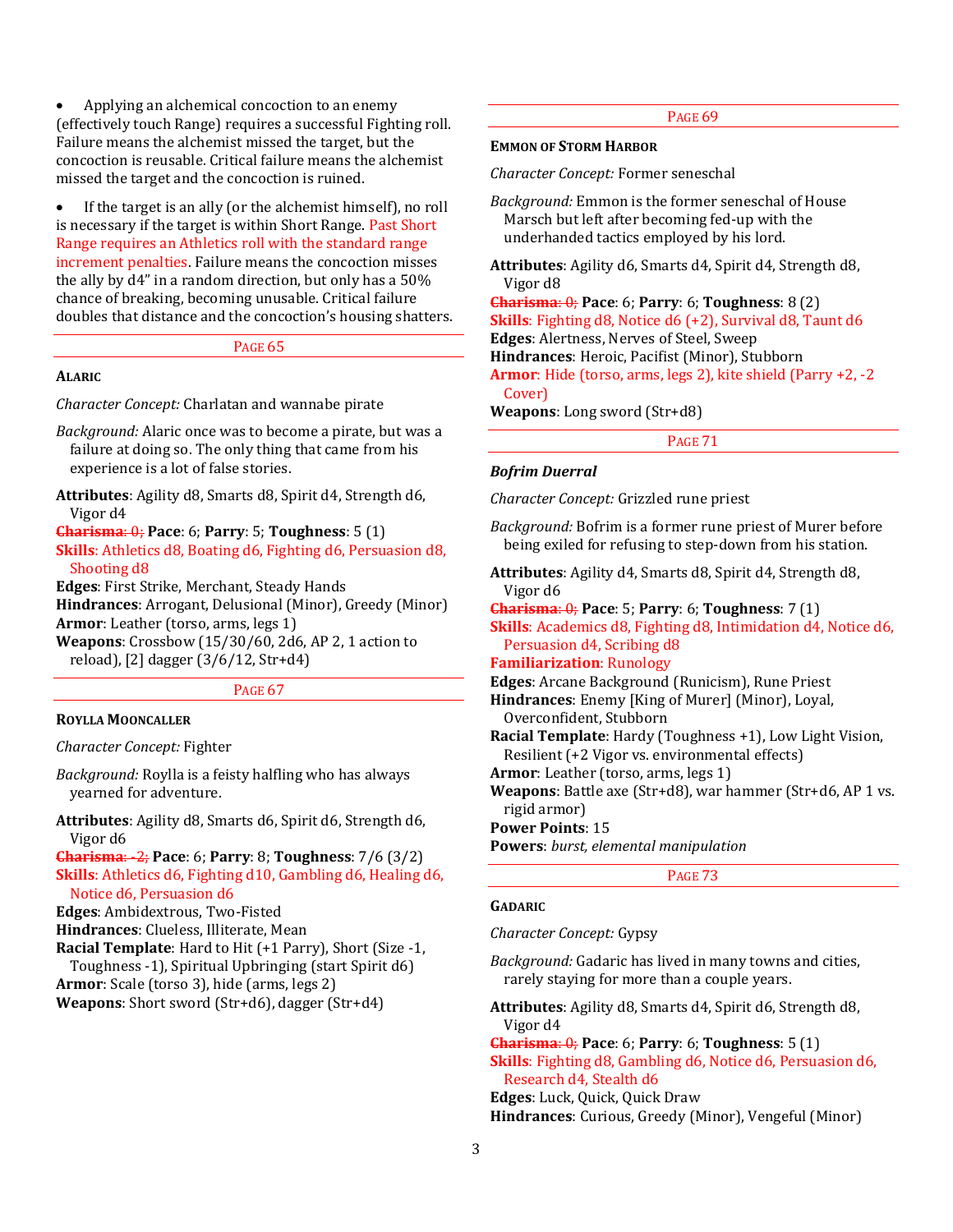Applying an alchemical concoction to an enemy (effectively touch Range) requires a successful Fighting roll. Failure means the alchemist missed the target, but the concoction is reusable. Critical failure means the alchemist missed the target and the concoction is ruined.

 If the target is an ally (or the alchemist himself), no roll is necessary if the target is within Short Range. Past Short Range requires an Athletics roll with the standard range increment penalties. Failure means the concoction misses the ally by d4" in a random direction, but only has a 50% chance of breaking, becoming unusable. Critical failure doubles that distance and the concoction's housing shatters.

## PAGE 65

## **ALARIC**

*Character Concept:* Charlatan and wannabe pirate

*Background:* Alaric once was to become a pirate, but was a failure at doing so. The only thing that came from his experience is a lot of false stories.

**Attributes**: Agility d8, Smarts d8, Spirit d4, Strength d6, Vigor d4

**Charisma**: 0; **Pace**: 6; **Parry**: 5; **Toughness**: 5 (1) **Skills**: Athletics d8, Boating d6, Fighting d6, Persuasion d8, Shooting d8

**Edges**: First Strike, Merchant, Steady Hands **Hindrances**: Arrogant, Delusional (Minor), Greedy (Minor) **Armor**: Leather (torso, arms, legs 1) **Weapons**: Crossbow (15/30/60, 2d6, AP 2, 1 action to

reload), [2] dagger (3/6/12, Str+d4)

PAGE 67

#### **ROYLLA MOONCALLER**

*Character Concept:* Fighter

*Background:* Roylla is a feisty halfling who has always yearned for adventure.

**Attributes**: Agility d8, Smarts d6, Spirit d6, Strength d6, Vigor d6

**Charisma**: -2; **Pace**: 6; **Parry**: 8; **Toughness**: 7/6 (3/2) **Skills**: Athletics d6, Fighting d10, Gambling d6, Healing d6, Notice d6, Persuasion d6

**Edges**: Ambidextrous, Two-Fisted

**Hindrances**: Clueless, Illiterate, Mean

**Racial Template**: Hard to Hit (+1 Parry), Short (Size -1, Toughness -1), Spiritual Upbringing (start Spirit d6)

**Armor**: Scale (torso 3), hide (arms, legs 2)

**Weapons**: Short sword (Str+d6), dagger (Str+d4)

## PAGE 69

#### **EMMON OF STORM HARBOR**

*Character Concept:* Former seneschal

*Background:* Emmon is the former seneschal of House Marsch but left after becoming fed-up with the underhanded tactics employed by his lord.

**Attributes**: Agility d6, Smarts d4, Spirit d4, Strength d8, Vigor d8

**Charisma**: 0; **Pace**: 6; **Parry**: 6; **Toughness**: 8 (2) **Skills**: Fighting d8, Notice d6 (+2), Survival d8, Taunt d6 **Edges**: Alertness, Nerves of Steel, Sweep **Hindrances**: Heroic, Pacifist (Minor), Stubborn **Armor**: Hide (torso, arms, legs 2), kite shield (Parry +2, -2 Cover)

**Weapons**: Long sword (Str+d8)

PAGE 71

#### *Bofrim Duerral*

*Character Concept:* Grizzled rune priest

*Background:* Bofrim is a former rune priest of Murer before being exiled for refusing to step-down from his station.

**Attributes**: Agility d4, Smarts d8, Spirit d4, Strength d8, Vigor d6

**Charisma**: 0; **Pace**: 5; **Parry**: 6; **Toughness**: 7 (1)

**Skills**: Academics d8, Fighting d8, Intimidation d4, Notice d6, Persuasion d4, Scribing d8

## **Familiarization**: Runology

**Edges**: Arcane Background (Runicism), Rune Priest

**Hindrances**: Enemy [King of Murer] (Minor), Loyal, Overconfident, Stubborn

**Racial Template**: Hardy (Toughness +1), Low Light Vision, Resilient (+2 Vigor vs. environmental effects)

**Armor**: Leather (torso, arms, legs 1)

**Weapons**: Battle axe (Str+d8), war hammer (Str+d6, AP 1 vs. rigid armor)

**Power Points**: 15

**Powers**: *burst, elemental manipulation*

PAGE 73

#### **GADARIC**

*Character Concept:* Gypsy

*Background:* Gadaric has lived in many towns and cities, rarely staying for more than a couple years.

**Attributes**: Agility d8, Smarts d4, Spirit d6, Strength d8, Vigor d4

**Charisma**: 0; **Pace**: 6; **Parry**: 6; **Toughness**: 5 (1) **Skills**: Fighting d8, Gambling d6, Notice d6, Persuasion d6, Research d4, Stealth d6

**Edges**: Luck, Quick, Quick Draw

**Hindrances**: Curious, Greedy (Minor), Vengeful (Minor)